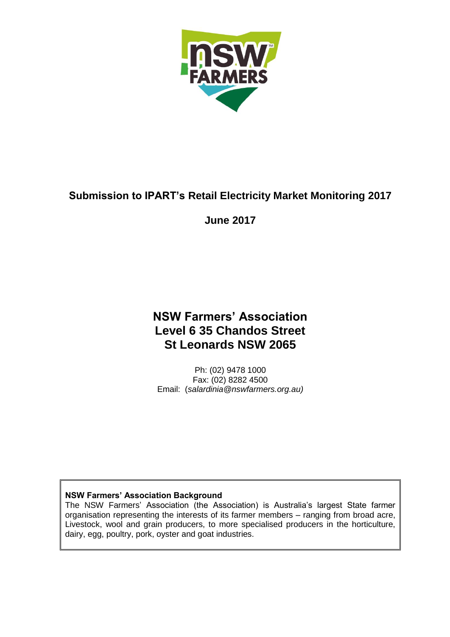

# **Submission to IPART's Retail Electricity Market Monitoring 2017**

#### **June 2017**

# **NSW Farmers' Association Level 6 35 Chandos Street St Leonards NSW 2065**

Ph: (02) 9478 1000 Fax: (02) 8282 4500 Email: (*salardinia@nswfarmers.org.au)*

#### **NSW Farmers' Association Background**

The NSW Farmers' Association (the Association) is Australia's largest State farmer organisation representing the interests of its farmer members – ranging from broad acre, Livestock, wool and grain producers, to more specialised producers in the horticulture, dairy, egg, poultry, pork, oyster and goat industries.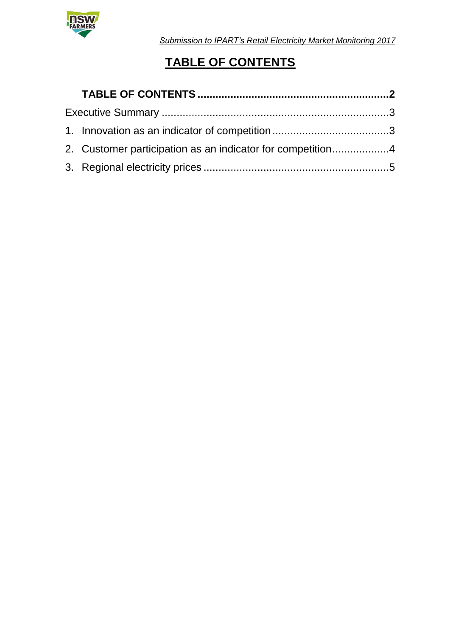

*Submission to IPART's Retail Electricity Market Monitoring 2017*

# **TABLE OF CONTENTS**

| 2. Customer participation as an indicator for competition4 |  |
|------------------------------------------------------------|--|
|                                                            |  |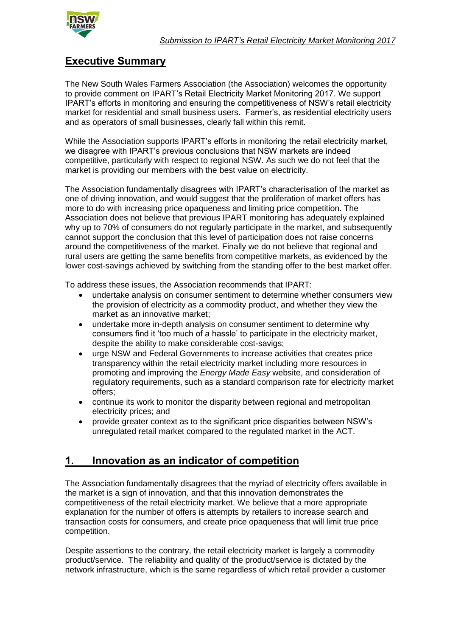

### **Executive Summary**

The New South Wales Farmers Association (the Association) welcomes the opportunity to provide comment on IPART's Retail Electricity Market Monitoring 2017. We support IPART's efforts in monitoring and ensuring the competitiveness of NSW's retail electricity market for residential and small business users. Farmer's, as residential electricity users and as operators of small businesses, clearly fall within this remit.

While the Association supports IPART's efforts in monitoring the retail electricity market, we disagree with IPART's previous conclusions that NSW markets are indeed competitive, particularly with respect to regional NSW. As such we do not feel that the market is providing our members with the best value on electricity.

The Association fundamentally disagrees with IPART's characterisation of the market as one of driving innovation, and would suggest that the proliferation of market offers has more to do with increasing price opaqueness and limiting price competition. The Association does not believe that previous IPART monitoring has adequately explained why up to 70% of consumers do not regularly participate in the market, and subsequently cannot support the conclusion that this level of participation does not raise concerns around the competitiveness of the market. Finally we do not believe that regional and rural users are getting the same benefits from competitive markets, as evidenced by the lower cost-savings achieved by switching from the standing offer to the best market offer.

To address these issues, the Association recommends that IPART:

- undertake analysis on consumer sentiment to determine whether consumers view the provision of electricity as a commodity product, and whether they view the market as an innovative market;
- undertake more in-depth analysis on consumer sentiment to determine why consumers find it 'too much of a hassle' to participate in the electricity market, despite the ability to make considerable cost-savigs;
- urge NSW and Federal Governments to increase activities that creates price transparency within the retail electricity market including more resources in promoting and improving the *Energy Made Easy* website, and consideration of regulatory requirements, such as a standard comparison rate for electricity market offers;
- continue its work to monitor the disparity between regional and metropolitan electricity prices; and
- provide greater context as to the significant price disparities between NSW's unregulated retail market compared to the regulated market in the ACT.

### **1. Innovation as an indicator of competition**

The Association fundamentally disagrees that the myriad of electricity offers available in the market is a sign of innovation, and that this innovation demonstrates the competitiveness of the retail electricity market. We believe that a more appropriate explanation for the number of offers is attempts by retailers to increase search and transaction costs for consumers, and create price opaqueness that will limit true price competition.

Despite assertions to the contrary, the retail electricity market is largely a commodity product/service. The reliability and quality of the product/service is dictated by the network infrastructure, which is the same regardless of which retail provider a customer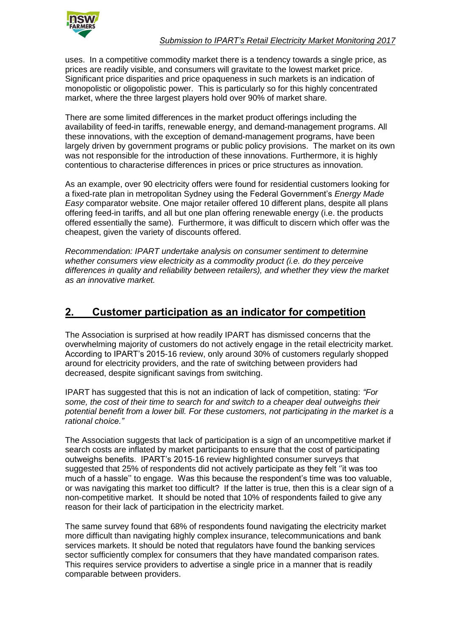

#### *Submission to IPART's Retail Electricity Market Monitoring 2017*

uses. In a competitive commodity market there is a tendency towards a single price, as prices are readily visible, and consumers will gravitate to the lowest market price. Significant price disparities and price opaqueness in such markets is an indication of monopolistic or oligopolistic power. This is particularly so for this highly concentrated market, where the three largest players hold over 90% of market share.

There are some limited differences in the market product offerings including the availability of feed-in tariffs, renewable energy, and demand-management programs. All these innovations, with the exception of demand-management programs, have been largely driven by government programs or public policy provisions. The market on its own was not responsible for the introduction of these innovations. Furthermore, it is highly contentious to characterise differences in prices or price structures as innovation.

As an example, over 90 electricity offers were found for residential customers looking for a fixed-rate plan in metropolitan Sydney using the Federal Government's *Energy Made Easy* comparator website. One major retailer offered 10 different plans, despite all plans offering feed-in tariffs, and all but one plan offering renewable energy (i.e. the products offered essentially the same). Furthermore, it was difficult to discern which offer was the cheapest, given the variety of discounts offered.

*Recommendation: IPART undertake analysis on consumer sentiment to determine whether consumers view electricity as a commodity product (i.e. do they perceive differences in quality and reliability between retailers), and whether they view the market as an innovative market.* 

#### **2. Customer participation as an indicator for competition**

The Association is surprised at how readily IPART has dismissed concerns that the overwhelming majority of customers do not actively engage in the retail electricity market. According to IPART's 2015-16 review, only around 30% of customers regularly shopped around for electricity providers, and the rate of switching between providers had decreased, despite significant savings from switching.

IPART has suggested that this is not an indication of lack of competition, stating: *"For some, the cost of their time to search for and switch to a cheaper deal outweighs their potential benefit from a lower bill. For these customers, not participating in the market is a rational choice."*

The Association suggests that lack of participation is a sign of an uncompetitive market if search costs are inflated by market participants to ensure that the cost of participating outweighs benefits. IPART's 2015-16 review highlighted consumer surveys that suggested that 25% of respondents did not actively participate as they felt ''it was too much of a hassle'' to engage. Was this because the respondent's time was too valuable, or was navigating this market too difficult? If the latter is true, then this is a clear sign of a non-competitive market. It should be noted that 10% of respondents failed to give any reason for their lack of participation in the electricity market.

The same survey found that 68% of respondents found navigating the electricity market more difficult than navigating highly complex insurance, telecommunications and bank services markets. It should be noted that regulators have found the banking services sector sufficiently complex for consumers that they have mandated comparison rates. This requires service providers to advertise a single price in a manner that is readily comparable between providers.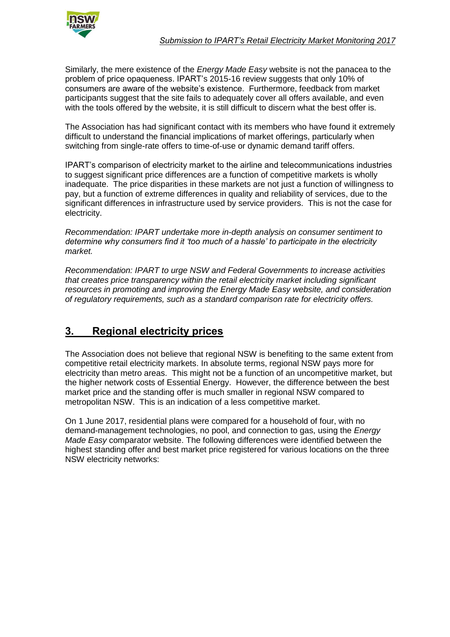

Similarly, the mere existence of the *Energy Made Easy* website is not the panacea to the problem of price opaqueness. IPART's 2015-16 review suggests that only 10% of consumers are aware of the website's existence. Furthermore, feedback from market participants suggest that the site fails to adequately cover all offers available, and even with the tools offered by the website, it is still difficult to discern what the best offer is.

The Association has had significant contact with its members who have found it extremely difficult to understand the financial implications of market offerings, particularly when switching from single-rate offers to time-of-use or dynamic demand tariff offers.

IPART's comparison of electricity market to the airline and telecommunications industries to suggest significant price differences are a function of competitive markets is wholly inadequate. The price disparities in these markets are not just a function of willingness to pay, but a function of extreme differences in quality and reliability of services, due to the significant differences in infrastructure used by service providers. This is not the case for electricity.

*Recommendation: IPART undertake more in-depth analysis on consumer sentiment to determine why consumers find it 'too much of a hassle' to participate in the electricity market.* 

*Recommendation: IPART to urge NSW and Federal Governments to increase activities that creates price transparency within the retail electricity market including significant resources in promoting and improving the Energy Made Easy website, and consideration of regulatory requirements, such as a standard comparison rate for electricity offers.* 

## **3. Regional electricity prices**

The Association does not believe that regional NSW is benefiting to the same extent from competitive retail electricity markets. In absolute terms, regional NSW pays more for electricity than metro areas. This might not be a function of an uncompetitive market, but the higher network costs of Essential Energy. However, the difference between the best market price and the standing offer is much smaller in regional NSW compared to metropolitan NSW. This is an indication of a less competitive market.

On 1 June 2017, residential plans were compared for a household of four, with no demand-management technologies, no pool, and connection to gas, using the *Energy Made Easy* comparator website. The following differences were identified between the highest standing offer and best market price registered for various locations on the three NSW electricity networks: